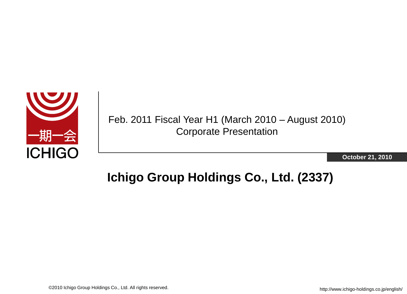

Feb. 2011 Fiscal Year H1 (March 2010 – August 2010) Corporate Presentation

**October 21, 2010**

## **Ichigo Group Holdings Co., Ltd. (2337)**

©2010 Ichigo Group Holdings Co., Ltd. All rights reserved.

http://www.ichigo-holdings.co.jp/english/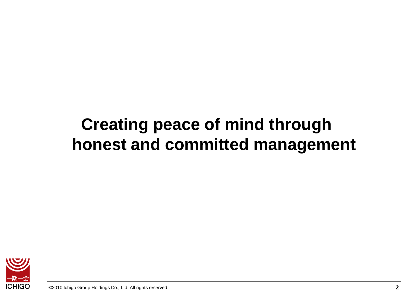# **Creating peace of mind through honest and committed management**

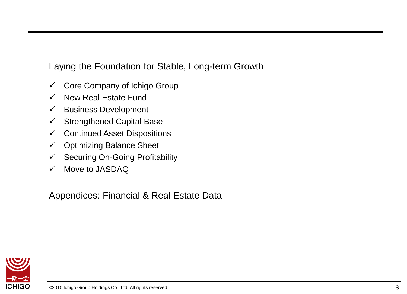Laying the Foundation for Stable, Long-term Growth

- $\checkmark$  Core Company of Ichigo Group
- $\checkmark$  New Real Estate Fund
- $\checkmark$  Business Development
- $\checkmark$  Strengthened Capital Base
- $\checkmark$  Continued Asset Dispositions
- $\checkmark$  Optimizing Balance Sheet
- $\checkmark$  Securing On-Going Profitability
- $\checkmark$  Move to JASDAQ

Appendices: Financial & Real Estate Data

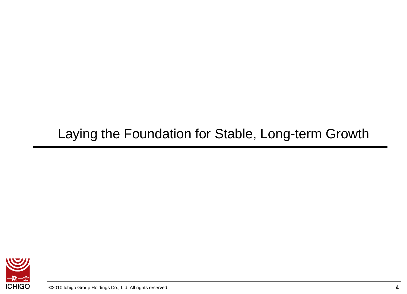## Laying the Foundation for Stable, Long-term Growth

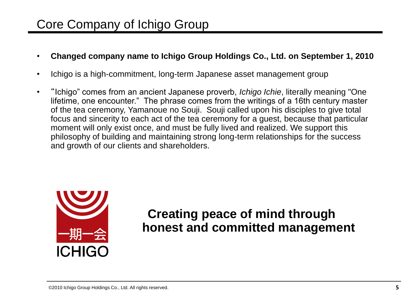## Core Company of Ichigo Group

- **Changed company name to Ichigo Group Holdings Co., Ltd. on September 1, 2010**
- Ichigo is a high-commitment, long-term Japanese asset management group
- "Ichigo" comes from an ancient Japanese proverb, *Ichigo Ichie*, literally meaning "One lifetime, one encounter." The phrase comes from the writings of a 16th century master of the tea ceremony, Yamanoue no Souji. Souji called upon his disciples to give total focus and sincerity to each act of the tea ceremony for a guest, because that particular moment will only exist once, and must be fully lived and realized. We support this philosophy of building and maintaining strong long-term relationships for the success and growth of our clients and shareholders.



## **Creating peace of mind through honest and committed management**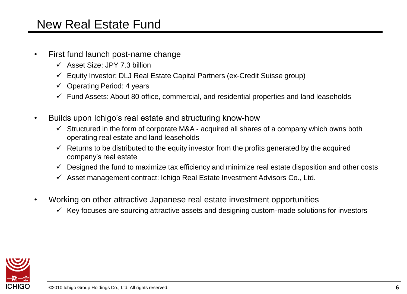### New Real Estate Fund

- First fund launch post-name change
	- $\checkmark$  Asset Size: JPY 7.3 billion
	- $\checkmark$  Equity Investor: DLJ Real Estate Capital Partners (ex-Credit Suisse group)
	- $\checkmark$  Operating Period: 4 years
	- $\checkmark$  Fund Assets: About 80 office, commercial, and residential properties and land leaseholds
- Builds upon Ichigo's real estate and structuring know-how
	- $\checkmark$  Structured in the form of corporate M&A acquired all shares of a company which owns both operating real estate and land leaseholds
	- $\checkmark$  Returns to be distributed to the equity investor from the profits generated by the acquired company's real estate
	- $\checkmark$  Designed the fund to maximize tax efficiency and minimize real estate disposition and other costs
	- $\checkmark$  Asset management contract: Ichigo Real Estate Investment Advisors Co., Ltd.
- Working on other attractive Japanese real estate investment opportunities
	- $\checkmark$  Key focuses are sourcing attractive assets and designing custom-made solutions for investors

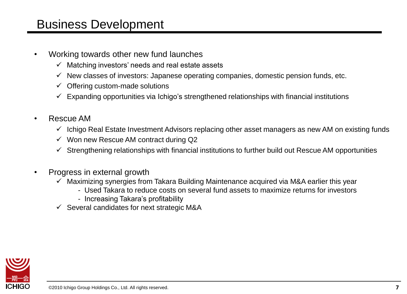### Business Development

- Working towards other new fund launches
	- $\checkmark$  Matching investors' needs and real estate assets
	- $\checkmark$  New classes of investors: Japanese operating companies, domestic pension funds, etc.
	- $\checkmark$  Offering custom-made solutions
	- $\checkmark$  Expanding opportunities via Ichigo's strengthened relationships with financial institutions
- Rescue AM
	- $\checkmark$  Ichigo Real Estate Investment Advisors replacing other asset managers as new AM on existing funds
	- $\checkmark$  Won new Rescue AM contract during Q2
	- $\checkmark$  Strengthening relationships with financial institutions to further build out Rescue AM opportunities
- Progress in external growth
	- $\checkmark$  Maximizing synergies from Takara Building Maintenance acquired via M&A earlier this year
		- Used Takara to reduce costs on several fund assets to maximize returns for investors
		- Increasing Takara's profitability
	- $\checkmark$  Several candidates for next strategic M&A

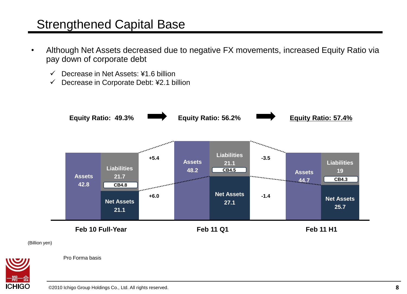### Strengthened Capital Base

- Although Net Assets decreased due to negative FX movements, increased Equity Ratio via pay down of corporate debt
	- $\checkmark$  Decrease in Net Assets: ¥1.6 billion
	- $\checkmark$  Decrease in Corporate Debt: ¥2.1 billion



(Billion yen)



Pro Forma basis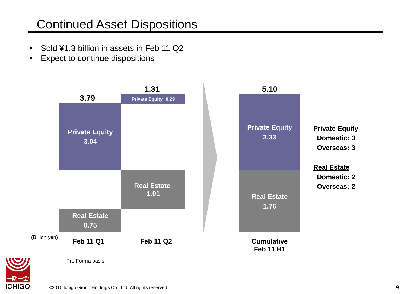## Continued Asset Dispositions

- Sold ¥1.3 billion in assets in Feb 11 Q2
- Expect to continue dispositions



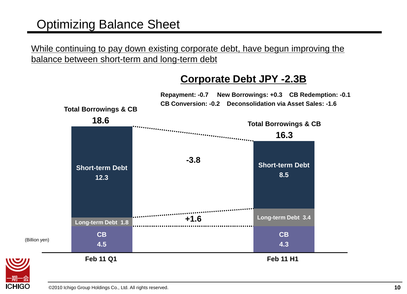## Optimizing Balance Sheet

While continuing to pay down existing corporate debt, have begun improving the balance between short-term and long-term debt

#### **Corporate Debt JPY -2.3B**



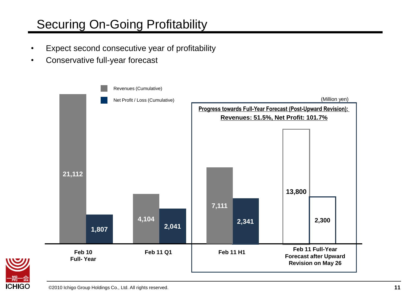## Securing On-Going Profitability

- Expect second consecutive year of profitability
- Conservative full-year forecast



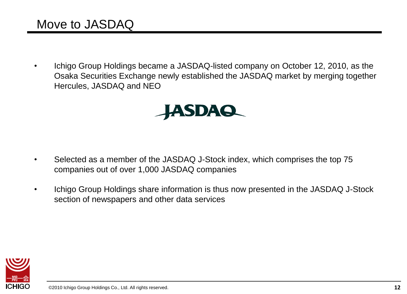## Move to JASDAQ

• Ichigo Group Holdings became a JASDAQ-listed company on October 12, 2010, as the Osaka Securities Exchange newly established the JASDAQ market by merging together Hercules, JASDAQ and NEO



- Selected as a member of the JASDAQ J-Stock index, which comprises the top 75 companies out of over 1,000 JASDAQ companies
- Ichigo Group Holdings share information is thus now presented in the JASDAQ J-Stock section of newspapers and other data services

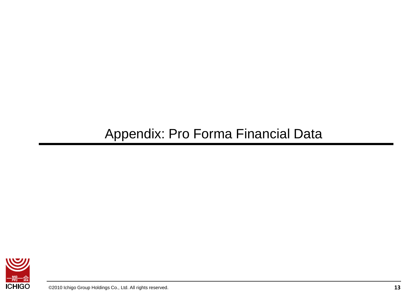## Appendix: Pro Forma Financial Data

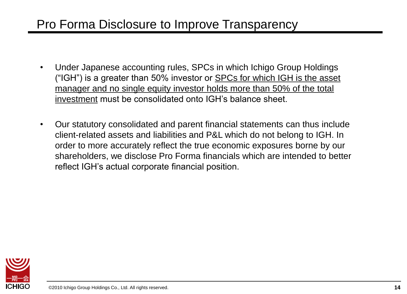## Pro Forma Disclosure to Improve Transparency

- Under Japanese accounting rules, SPCs in which Ichigo Group Holdings ("IGH") is a greater than 50% investor or SPCs for which IGH is the asset manager and no single equity investor holds more than 50% of the total investment must be consolidated onto IGH's balance sheet.
- Our statutory consolidated and parent financial statements can thus include client-related assets and liabilities and P&L which do not belong to IGH. In order to more accurately reflect the true economic exposures borne by our shareholders, we disclose Pro Forma financials which are intended to better reflect IGH's actual corporate financial position.

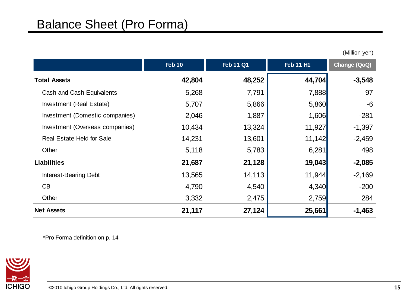|                                  | <b>Feb 10</b> | <b>Feb 11 Q1</b> | <b>Feb 11 H1</b> | Change (QoQ) |
|----------------------------------|---------------|------------------|------------------|--------------|
| <b>Total Assets</b>              | 42,804        | 48,252           | 44,704           | $-3,548$     |
| Cash and Cash Equivalents        | 5,268         | 7,791            | 7,888            | 97           |
| Investment (Real Estate)         | 5,707         | 5,866            | 5,860            | $-6$         |
| Investment (Domestic companies)  | 2,046         | 1,887            | 1,606            | $-281$       |
| Investment (Overseas companies)  | 10,434        | 13,324           | 11,927           | $-1,397$     |
| <b>Real Estate Held for Sale</b> | 14,231        | 13,601           | 11,142           | $-2,459$     |
| Other                            | 5,118         | 5,783            | 6,281            | 498          |
| <b>Liabilities</b>               | 21,687        | 21,128           | 19,043           | $-2,085$     |
| <b>Interest-Bearing Debt</b>     | 13,565        | 14,113           | 11,944           | $-2,169$     |
| CB                               | 4,790         | 4,540            | 4,340            | $-200$       |
| Other                            | 3,332         | 2,475            | 2,759            | 284          |
| <b>Net Assets</b>                | 21,117        | 27,124           | 25,661           | $-1,463$     |

\*Pro Forma definition on p. 14



(Million yen)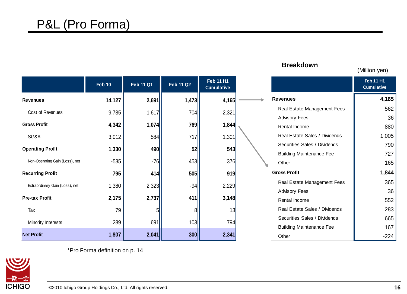## P&L (Pro Forma)

|                                | <b>Feb 10</b> | <b>Feb 11 Q1</b> | <b>Feb 11 Q2</b> | <b>Feb 11 H1</b><br><b>Cumulative</b> |                                 | <b>Feb 11 H1</b><br><b>Cumulative</b> |
|--------------------------------|---------------|------------------|------------------|---------------------------------------|---------------------------------|---------------------------------------|
| <b>Revenues</b>                | 14,127        | 2,691            | 1,473            | 4,165                                 | <b>Revenues</b>                 | 4,165                                 |
| Cost of Revenues               | 9,785         | 1,617            | 704              | 2,321                                 | Real Estate Management Fees     | 562                                   |
|                                |               |                  |                  |                                       | <b>Advisory Fees</b>            | 36                                    |
| <b>Gross Profit</b>            | 4,342         | 1,074            | 769              | 1,844                                 | Rental Income                   | 880                                   |
| SG&A                           | 3,012         | 584              | 717              | 1,301                                 | Real Estate Sales / Dividends   | 1,005                                 |
| <b>Operating Profit</b>        | 1,330         | 490              | 52               | 543                                   | Securities Sales / Dividends    | 790                                   |
|                                |               |                  |                  |                                       | <b>Building Maintenance Fee</b> | 727                                   |
| Non-Operating Gain (Loss), net | $-535$        | $-76$            | 453              | 376                                   | Other                           | 165                                   |
| <b>Recurring Profit</b>        | 795           | 414              | 505              | 919                                   | <b>Gross Profit</b>             | 1,844                                 |
| Extraordinary Gain (Loss), net | 1,380         | 2,323            | $-94$            | 2,229                                 | Real Estate Management Fees     | 365                                   |
|                                |               |                  |                  |                                       | <b>Advisory Fees</b>            | 36                                    |
| <b>Pre-tax Profit</b>          | 2,175         | 2,737            | 411              | 3,148                                 | Rental Income                   | 552                                   |
| Tax                            | 79            |                  | 81               | 13                                    | Real Estate Sales / Dividends   | 283                                   |
| Minority Interests             | 289           | 691              | 103              | 794                                   | Securities Sales / Dividends    | 665                                   |
|                                |               |                  |                  |                                       | <b>Building Maintenance Fee</b> | 167                                   |
| <b>Net Profit</b>              | 1,807         | 2,041            | 300              | 2,341                                 | Other                           | $-224$                                |

**Breakdown**

<mark>一期一会</mark><br>ICHIGO

\*Pro Forma definition on p. 14

(Million yen)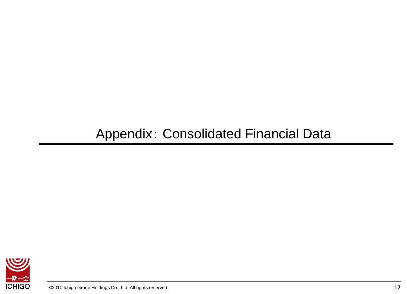## Appendix: Consolidated Financial Data

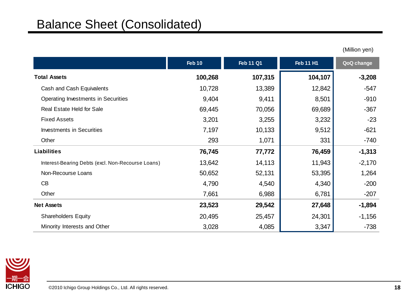|                                                   | <b>Feb 10</b> | <b>Feb 11 Q1</b> | <b>Feb 11 H1</b> | QoQ change |
|---------------------------------------------------|---------------|------------------|------------------|------------|
| <b>Total Assets</b>                               | 100,268       | 107,315          | 104,107          | $-3,208$   |
| Cash and Cash Equivalents                         | 10,728        | 13,389           | 12,842           | $-547$     |
| Operating Investments in Securities               | 9,404         | 9,411            | 8,501            | $-910$     |
| Real Estate Held for Sale                         | 69,445        | 70,056           | 69,689           | $-367$     |
| <b>Fixed Assets</b>                               | 3,201         | 3,255            | 3,232            | $-23$      |
| <b>Investments in Securities</b>                  | 7,197         | 10,133           | 9,512            | $-621$     |
| Other                                             | 293           | 1,071            | 331              | $-740$     |
| <b>Liabilities</b>                                | 76,745        | 77,772           | 76,459           | $-1,313$   |
| Interest-Bearing Debts (excl. Non-Recourse Loans) | 13,642        | 14,113           | 11,943           | $-2,170$   |
| Non-Recourse Loans                                | 50,652        | 52,131           | 53,395           | 1,264      |
| CB                                                | 4,790         | 4,540            | 4,340            | $-200$     |
| Other                                             | 7,661         | 6,988            | 6,781            | $-207$     |
| <b>Net Assets</b>                                 | 23,523        | 29,542           | 27,648           | $-1,894$   |
| <b>Shareholders Equity</b>                        | 20,495        | 25,457           | 24,301           | $-1,156$   |
| Minority Interests and Other                      | 3,028         | 4,085            | 3,347            | $-738$     |

(Million yen)

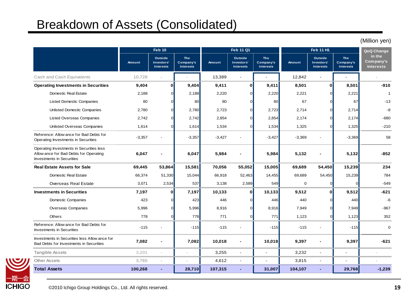## Breakdown of Assets (Consolidated)

|                                                                                                                        |                                                       |                                                  |                                             |          |                                           |                                             |             |                                                  |                                             | (Million yen)                           |
|------------------------------------------------------------------------------------------------------------------------|-------------------------------------------------------|--------------------------------------------------|---------------------------------------------|----------|-------------------------------------------|---------------------------------------------|-------------|--------------------------------------------------|---------------------------------------------|-----------------------------------------|
|                                                                                                                        | <b>Feb 10</b><br><b>Feb 11 Q1</b><br><b>Feb 11 H1</b> |                                                  |                                             |          | QoQ Change                                |                                             |             |                                                  |                                             |                                         |
|                                                                                                                        | Amount                                                | <b>Outside</b><br>Investors'<br><b>Interests</b> | <b>The</b><br>Company's<br><b>Interests</b> | Amount   | Outside<br>Investors'<br><b>Interests</b> | <b>The</b><br>Company's<br><b>Interests</b> | Amount      | <b>Outside</b><br>Investors'<br><b>Interests</b> | <b>The</b><br>Company's<br><b>Interests</b> | in the<br>Company's<br><b>Interests</b> |
| Cash and Cash Equivalents                                                                                              | 10,728                                                | J.                                               |                                             | 13,389   | $\sim$                                    |                                             | 12,842      | $\blacksquare$                                   |                                             |                                         |
| <b>Operating Investments in Securities</b>                                                                             | 9,404                                                 | $\mathbf 0$                                      | 9,404                                       | 9,411    | $\mathbf{0}$                              | 9,411                                       | 8,501       | $\mathbf{0}$                                     | 8,501                                       | $-910$                                  |
| Domestic Real Estate                                                                                                   | 2,188                                                 | $\Omega$                                         | 2,188                                       | 2,220    | $\Omega$                                  | 2,220                                       | 2,221       | ∩                                                | 2,221                                       | $\overline{1}$                          |
| <b>Listed Domestic Companies</b>                                                                                       | 80                                                    | $\Omega$                                         | 80                                          | 80       | $\Omega$                                  | 80                                          | 67          |                                                  | 67                                          | $-13$                                   |
| <b>Unlisted Domestic Companies</b>                                                                                     | 2,780                                                 | $\Omega$                                         | 2,780                                       | 2,723    | <sub>0</sub>                              | 2,723                                       | 2,714       |                                                  | 2,714                                       | $-8$                                    |
| <b>Listed Overseas Companies</b>                                                                                       | 2,742                                                 | $\Omega$                                         | 2,742                                       | 2,854    | $\Omega$                                  | 2,854                                       | 2,174       | $\Omega$                                         | 2,174                                       | $-680$                                  |
| <b>Unlisted Overseas Companies</b>                                                                                     | 1,614                                                 | $\Omega$                                         | 1,614                                       | 1,534    | $\overline{0}$                            | 1,534                                       | 1,325       | U                                                | 1,325                                       | $-210$                                  |
| Reference: Allow ance for Bad Debts for<br>Operating Investments in Securities                                         | $-3,357$                                              |                                                  | $-3,357$                                    | $-3,427$ |                                           | $-3,427$                                    | $-3,369$    |                                                  | $-3,369$                                    | 58                                      |
| Operating Investments in Securities less<br>Allow ance for Bad Debts for Operating<br><b>Investments in Securities</b> | 6,047                                                 |                                                  | 6,047                                       | 5,984    |                                           | 5,984                                       | 5,132       |                                                  | 5,132                                       | $-852$                                  |
| <b>Real Estate Assets for Sale</b>                                                                                     | 69,445                                                | 53,864                                           | 15,581                                      | 70,056   | 55,052                                    | 15,005                                      | 69,689      | 54,450                                           | 15,239                                      | 234                                     |
| Domestic Real Estate                                                                                                   | 66,374                                                | 51,330                                           | 15,044                                      | 66,918   | 52,463                                    | 14,455                                      | 69,689      | 54,450                                           | 15,239                                      | 784                                     |
| Overseas Real Estate                                                                                                   | 3,071                                                 | 2,534                                            | 537                                         | 3,138    | 2,589                                     | 549                                         | $\mathbf 0$ | $\Omega$                                         | $\Omega$                                    | $-549$                                  |
| <b>Investments in Securities</b>                                                                                       | 7,197                                                 | $\bf{0}$                                         | 7.197                                       | 10,133   | $\mathbf{0}$                              | 10,133                                      | 9,512       | $\Omega$                                         | 9,512                                       | $-621$                                  |
| Domestic Companies                                                                                                     | 423                                                   | $\mathbf 0$                                      | 423                                         | 446      | $\Omega$                                  | 446                                         | 440         | $\Omega$                                         | 440                                         | $-6$                                    |
| Overseas Companies                                                                                                     | 5,996                                                 | $\mathbf 0$                                      | 5,996                                       | 8,916    | $\overline{0}$                            | 8,916                                       | 7,949       | r                                                | 7,949                                       | $-967$                                  |
| <b>Others</b>                                                                                                          | 778                                                   | $\Omega$                                         | 778                                         | 771      | $\Omega$                                  | 771                                         | 1,123       | $\sqrt{ }$                                       | 1,123                                       | 352                                     |
| Reference: Allow ance for Bad Debts for<br><b>Investments in Securities</b>                                            | $-115$                                                |                                                  | $-115$                                      | $-115$   |                                           | $-115$                                      | $-115$      |                                                  | $-115$                                      | $\mathbf 0$                             |
| Investments in Securities less Allow ance for<br>Bad Debts for Investments in Securities                               | 7,082                                                 |                                                  | 7,082                                       | 10,018   | $\blacksquare$                            | 10,018                                      | 9,397       | $\blacksquare$                                   | 9,397                                       | $-621$                                  |
| <b>Tangible Assets</b>                                                                                                 | 3.201                                                 | ÷                                                | $\sim$                                      | 3,255    | $\sim$                                    | $\sim$                                      | 3,232       | $\blacksquare$                                   | $\overline{a}$                              |                                         |
| <b>Other Assets</b>                                                                                                    | 3,765                                                 |                                                  |                                             | 4,612    | $\blacksquare$                            |                                             | 3,815       | $\blacksquare$                                   |                                             |                                         |
| <b>Total Assets</b>                                                                                                    | 100.268                                               | $\blacksquare$                                   | 28,710                                      | 107,315  | ÷                                         | 31,007                                      | 104,107     | ÷                                                | 29,768                                      | $-1,239$                                |

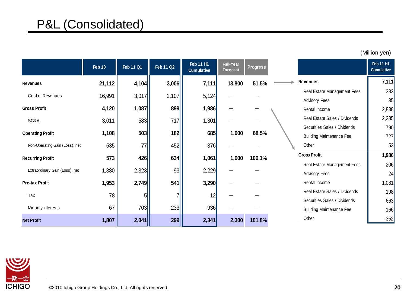|                                | Feb 10 | <b>Feb 11 Q1</b> | <b>Feb 11 Q2</b> | <b>Feb 11 H1</b><br><b>Cumulative</b> | Full-Year<br>Forecast | <b>Progress</b> |                                 | Feb 11 H1<br><b>Cumulative</b> |
|--------------------------------|--------|------------------|------------------|---------------------------------------|-----------------------|-----------------|---------------------------------|--------------------------------|
| <b>Revenues</b>                | 21,112 | 4,104            | 3,006            | 7,111                                 | 13,800                | 51.5%           | <b>Revenues</b>                 | 7,111                          |
| Cost of Revenues               |        |                  |                  |                                       |                       |                 | Real Estate Management Fees     | 383                            |
|                                | 16,991 | 3,017            | 2,107            | 5,124                                 |                       |                 | <b>Advisory Fees</b>            | 35                             |
| <b>Gross Profit</b>            | 4,120  | 1,087            | 899              | 1,986                                 |                       |                 | Rental Income                   | 2,838                          |
| SG&A                           | 3,011  | 583              | 717              | 1,301                                 |                       |                 | Real Estate Sales / Dividends   | 2,285                          |
|                                |        |                  |                  |                                       |                       |                 | Securities Sales / Dividends    | 790                            |
| <b>Operating Profit</b>        | 1,108  | 503              | 182              | 685                                   | 1,000                 | 68.5%           | <b>Building Maintenance Fee</b> | 727                            |
| Non-Operating Gain (Loss), net | $-535$ | $-77$            | 452              | 376                                   |                       |                 | Other                           | 53                             |
| <b>Recurring Profit</b>        | 573    | 426              | 634              | 1,061                                 | 1,000                 | 106.1%          | <b>Gross Profit</b>             | 1,986                          |
|                                |        |                  |                  |                                       |                       |                 | Real Estate Management Fees     | 206                            |
| Extraordinary Gain (Loss), net | 1,380  | 2,323            | $-93$            | 2,229                                 |                       |                 | <b>Advisory Fees</b>            | 24                             |
| <b>Pre-tax Profit</b>          | 1,953  | 2,749            | 541              | 3,290                                 |                       |                 | Rental Income                   | 1,081                          |
| Tax                            | 78     |                  |                  | 12                                    |                       |                 | Real Estate Sales / Dividends   | 198                            |
|                                |        |                  |                  |                                       |                       |                 | Securities Sales / Dividends    | 663                            |
| Minority Interests             | 67     | 703              | 233              | 936                                   |                       |                 | <b>Building Maintenance Fee</b> | 166                            |
| <b>Net Profit</b>              | 1,807  | 2,041            | 299              | 2,341                                 | 2,300                 | 101.8%          | Other                           | $-352$                         |

(Million yen)

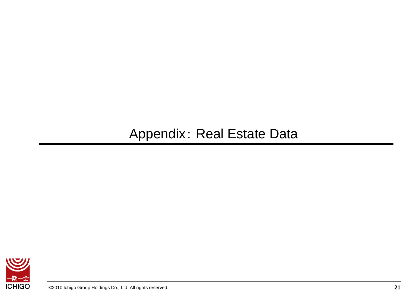## Appendix: Real Estate Data

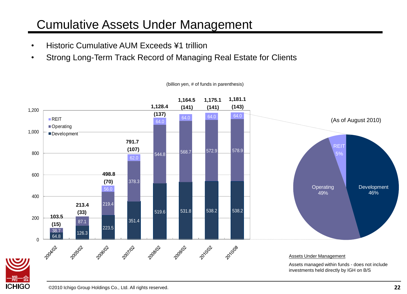## Cumulative Assets Under Management

- Historic Cumulative AUM Exceeds ¥1 trillion
- Strong Long-Term Track Record of Managing Real Estate for Clients



(billion yen, # of funds in parenthesis)

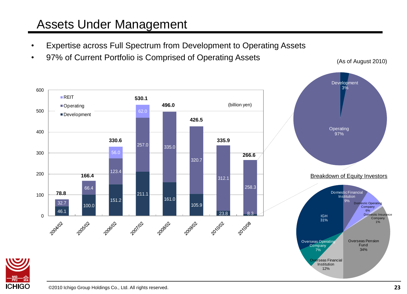## Assets Under Management

- Expertise across Full Spectrum from Development to Operating Assets
- 97% of Current Portfolio is Comprised of Operating Assets (As of August 2010)

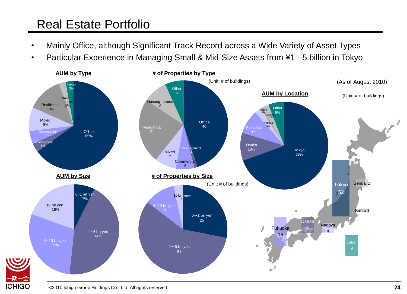## Real Estate Portfolio

- Mainly Office, although Significant Track Record across a Wide Variety of Asset Types
- Particular Experience in Managing Small & Mid-Size Assets from ¥1 5 billion in Tokyo

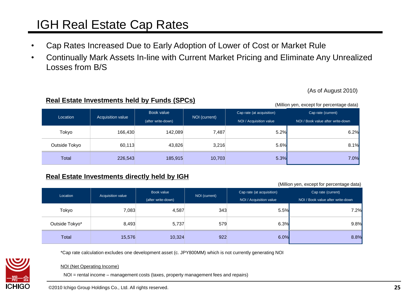## IGH Real Estate Cap Rates

- Cap Rates Increased Due to Early Adoption of Lower of Cost or Market Rule
- Continually Mark Assets In-line with Current Market Pricing and Eliminate Any Unrealized Losses from B/S

(As of August 2010)

|               |                   |                    |               |                           | $($ """" $\sigma$ "", $\sigma$ $\sigma$ $\sigma$ $\sigma$ "" $\sigma$ " poroontago data $\sigma$ |
|---------------|-------------------|--------------------|---------------|---------------------------|--------------------------------------------------------------------------------------------------|
| Location      | Acquisition value | Book value         | NOI (current) | Cap rate (at acquisition) | Cap rate (current)                                                                               |
|               |                   | (after write-down) |               | NOI / Acquisition value   | NOI / Book value after write-down                                                                |
| Tokyo         | 166,430           | 142,089            | 7,487         | 5.2%                      | 6.2%                                                                                             |
| Outside Tokyo | 60,113            | 43,826             | 3,216         | 5.6%                      | 8.1%                                                                                             |
| Total         | 226,543           | 185,915            | 10,703        | 5.3%                      | 7.0%                                                                                             |

#### **Real Estate Investments directly held by IGH**

**Real Estate Investments held by Funds (SPCs)**

(Million yen, except for percentage data)

(Million yen, except for percentage data)

| Location       | Acquisition value | Book value<br>(after write-down) | NOI (current) | Cap rate (at acquisition)<br>NOI / Acquisition value | Cap rate (current)<br>NOI / Book value after write-down |
|----------------|-------------------|----------------------------------|---------------|------------------------------------------------------|---------------------------------------------------------|
| Tokyo          | 7,083             | 4,587                            | 343           | 5.5%                                                 | 7.2%                                                    |
| Outside Tokyo* | 8,493             | 5,737                            | 579           | 6.3%                                                 | 9.8%                                                    |
| <b>Total</b>   | 15,576            | 10,324                           | 922           | 6.0%                                                 | 8.8%                                                    |

\*Cap rate calculation excludes one development asset (c. JPY800MM) which is not currently generating NOI



#### NOI (Net Operating Income)

NOI = rental income – management costs (taxes, property management fees and repairs)

©2010 Ichigo Group Holdings Co., Ltd. All rights reserved.